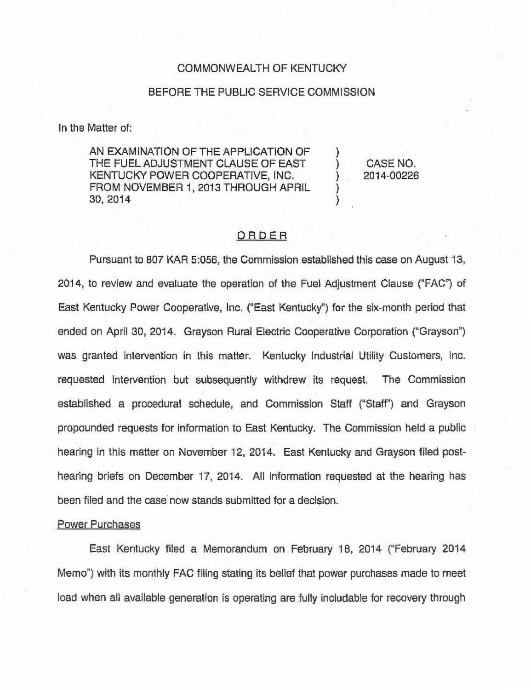### COMMONWEALTH OF KENTUCKY

#### BEFORE THE PUBLIC SERVICE COMMISSION

In the Matter of:

AN EXAMINATION OF THE APPLICATION OF THE FUEL ADJUSTMENT CLAUSE OF EAST KENTUCKY POWER COOPERATIVE, INC. FROM NOVEMBER 1, 2013 THROUGH APRIL 30, 2014

) CASE NO. ) 2014-00226

)

) )

# ORDER

Pursuant to 807 KAR 5:056, the Commission established this case on August 13, 2014, to review and evaluate the operation of the Fuel Adjustment Clause ("FAC") of East Kentucky Power Cooperative, Inc. ("East Kentucky") for the six-month period that ended on April 30, 2014. Grayson Rural Electric Cooperative Corporation ("Grayson") was granted intervention in this matter. Kentucky Industrial Utility Customers, Inc. requested intervention but subsequently withdrew its request. The Commission established a procedural schedule, and Commission Staff ("Staff") and Grayson propounded requests for information to East Kentucky. The Commission held a public hearing in this matter on November 12, 2014. East Kentucky and Grayson filed posthearing briefs on December 17, 2014. All information requested at the hearing has been filed and the case now stands submitted for a decision.

#### Power Purchases

East Kentucky filed a Memorandum on February 18, 2014 ("February 2014 Memo") with its monthly FAC filing stating its belief that power purchases made to meet load when all available generation is operating are fully includable for recovery through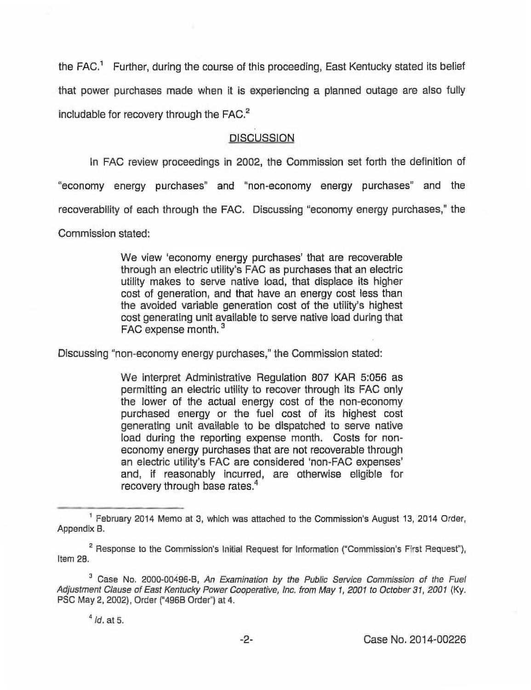the  $FAC<sup>1</sup>$  Further, during the course of this proceeding, East Kentucky stated its belief that power purchases made when it is experiencing a planned outage are also fully includable for recovery through the  $FAC<sup>2</sup>$ 

# **DISCUSSION**

In FAC review proceedings in 2002, the Commission set forth the definition of

"economy energy purchases" and "non-economy energy purchases" and the

recoverability of each through the FAC. Discussing "economy energy purchases," the

Commission stated:

We view 'economy energy purchases' that are recoverable through an electric utility's FAC as purchases that an electric utility makes to serve native load, that displace its higher cost of generation, and that have an energy cost less than the avoided variable generation cost of the utility's highest cost generating unit available to serve native load during that FAC expense month.<sup>3</sup>

Discussing "non-economy energy purchases," the Commission stated:

We interpret Administrative Regulation 807 KAR 5:056 as permitting an electric utility to recover through its FAC only the lower of the actual energy cost of the non-economy purchased energy or the fuel cost of its highest cost generating unit available to be dispatched to serve native load during the reporting expense month. Costs for noneconomy energy purchases that are not recoverable through an electric utility's FAC are considered 'non-FAC expenses' and, if reasonably incurred, are otherwise eligible for recovery through base rates.<sup>4</sup>

 $<sup>1</sup>$  February 2014 Memo at 3, which was attached to the Commission's August 13, 2014 Order,</sup> Appendix B.

 $2$  Response to the Commission's Initial Request for Information ("Commission's First Request"), Item 29.

<sup>&</sup>lt;sup>3</sup> Case No. 2000-00496-B, An Examination by the Public Service Commission of the Fuel Adjustment Clause of East Kentucky Power Cooperative, inc. from May 1, 2001 to October 31, 2001 (Ky. PSC May 2, 2002), Order ("496B Order") at 4.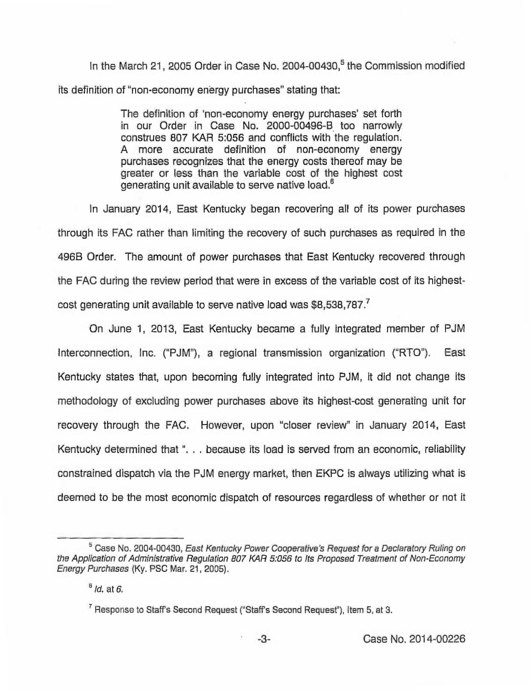In the March 21, 2005 Order in Case No. 2004-00430,<sup>5</sup> the Commission modified its definition of "non-economy energy purchases" stating that:

> The definition of 'non-economy energy purchases' set forth in our Order in Case No. 2000-00496-B too narrowly construes 807 KAR 5:056 and conflicts with the regulation. A more accurate definition of non-economy energy purchases recognizes that the energy costs thereof may be greater or less than the variable cost of the highest cost generating unit available to serve native load.<sup>6</sup>

January 2014, East Kentucky began recovering all of its power purchases through its FAC rather than limiting the recovery of such purchases as required in the 496B Order. The amount of power purchases that East Kentucky recovered through the FAC during the review period that were in excess of the variable cost of its highestcost generating unit available to serve native load was \$8,538,787.<sup>7</sup>

June 1, 2013, East Kentucky became a fully integrated member of PJM Interconnection, Inc. ("PJM"), a regional transmission organization ("RTO"). East Kentucky states that, upon becoming fully integrated into PJM, it did not change its methodology of excluding power purchases above its highest-cost generating unit for recovery through the FAC. However, upon "closer review" in January 2014, East Kentucky determined that ". . . because its load is served from an economic, reliability constrained dispatch via the PJM energy market, then EKPC is always utilizing what is deemed to be the most economic dispatch of resources regardless of whether or not it

<sup>&</sup>lt;sup>5</sup> Case No. 2004-00430, East Kentucky Power Cooperative's Request for a Declaratory Ruling on the Application of Administrative Regulation 807 KAR 5:056 to its Proposed Treatment of Non-Economy Energy Purchases (Ky. PSC Mar. 21, 2005),

 $<sup>6</sup>$  *ld.* at 6.</sup>

 $^7$  Response to Staff's Second Request ("Staff's Second Request"), Item 5, at 3.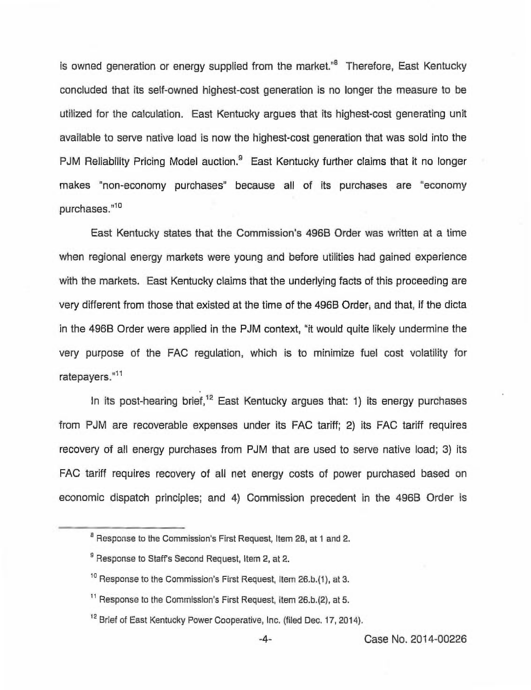is owned generation or energy supplied from the market."<sup>8</sup> Therefore, East Kentucky concluded that its self-owned highest-cost generation is no longer the measure to be utilized for the calculation. East Kentucky argues that its highest-cost generating unit available to serve native load is now the highest-cost generation that was sold into the PJM Reliability Pricing Model auction.<sup>9</sup> East Kentucky further claims that it no longer makes "non-economy purchases" because all of its purchases are "economy purchases."<sup>10</sup>

East Kentucky states that the Commission's 4968 Order was written at a time when regional energy markets were young and before utilities had gained experience with the markets. East Kentucky claims that the underlying facts of this proceeding are very different from those that existed at the time of the 496B Order; and that, if the dicta in the 496B Order were applied in the PJM context, "it would quite likely undermine the very purpose of the FAC regulation, which is to minimize fuel cost volatility for ratepayers."11

In its post-hearing brief,<sup>12</sup> East Kentucky argues that: 1) its energy purchases from PJM are recoverable expenses under its FAC tariff; 2) its FAC tariff requires recovery of all energy purchases from PJM that are used to serve native load; 3) its FAC tariff requires recovery of all net energy costs of power purchased based on economic dispatch principles; and 4) Commission precedent in the 496B Order is

-4- Case No. 2014-00226

<sup>&</sup>lt;sup>8</sup> Response to the Commission's First Request, Item 28, at 1 and 2.

 $9$  Response to Staff's Second Request, Item 2, at 2.

<sup>&</sup>lt;sup>10</sup> Response to the Commission's First Request, Item 26.b.(1), at 3.

<sup>&</sup>lt;sup>11</sup> Response to the Commission's First Request, Item 26.b.(2), at 5.

<sup>&</sup>lt;sup>12</sup> Brief of East Kentucky Power Cooperative, Inc. (filed Dec. 17, 2014).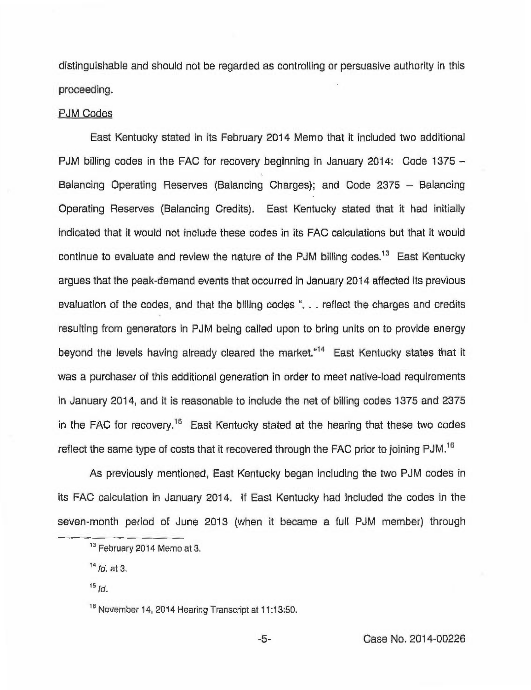distinguishable and should not be regarded as controlling or persuasive authority in this proceeding.

## PJM Codes

East Kentucky stated in its February 2014 Memo that it included two additional PJM billing codes in the FAC for recovery beginning in January 2014: Code 1375— Balancing Operating Reserves (Balancing Charges); and Code 2375 - Balancing Operating Reserves (Balancing Credits). East Kentucky stated that it had initially indicated that it would not include these codes in its FAC calculations but that it would continue to evaluate and review the nature of the PJM billing codes.<sup>13</sup> East Kentucky argues that the peak-demand events that occurred in January 2014 affected its previous evaluation of the codes, and that the billing codes "... reflect the charges and credits resulting from generators in PJM being called upon to bring units on to provide energy beyond the levels having already cleared the market."<sup>14</sup> East Kentucky states that it was a purchaser of this additional generation in order to meet native-load requirements in January 2014, and it is reasonable to include the net of billing codes 1375 and 2375 in the FAC for recovery.<sup>15</sup> East Kentucky stated at the hearing that these two codes reflect the same type of costs that it recovered through the FAC prior to joining PJM.<sup>16</sup>

As previously mentioned, East Kentucky began including the two PJM codes in its FAC calculation in January 2014. If East Kentucky had included the codes in the seven-month period of June 2013 (when it became a full PJM member) through

<sup>&</sup>lt;sup>13</sup> February 2014 Memo at 3.

 $14$  /d. at 3.

 $15$  Id.

ne.<br><sup>16</sup> November 14, 2014 Hearing Transcript at 11:13:50.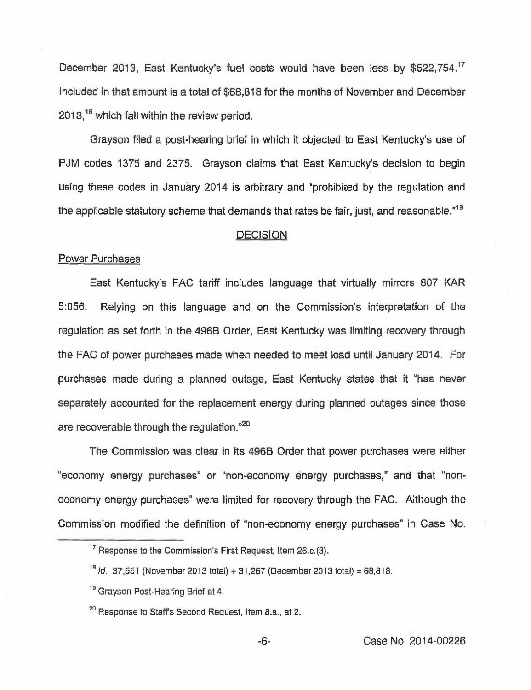December 2013, East Kentucky's fuel costs would have been less by \$522,754.'7 Included in that amount is a total of \$68,818 for the months of November and December  $2013<sup>18</sup>$  which fall within the review period.

Grayson filed a post-hearing brief in which it objected to East Kentucky's use of PJM codes 1375 and 2375. Grayson claims that East Kentucky's decision to begin using these codes in January 2014 is arbitrary and "prohibited by the regulation and the applicable statutory scheme that demands that rates be fair, just, and reasonable."<sup>19</sup>

### **DECISION**

## Power Purchases

East Kentucky's FAC tariff includes language that virtually mirrors 807 KAR 5:056. Relying on this language and on the Commission's interpretation of the regulation as set forth in the 496B Order, East Kentucky was limiting recovery through the FAC of power purchases made when needed to meet load until January 2014. For purchases made during a planned outage, East Kentucky states that it "has never separately accounted for the replacement energy during planned outages since those are recoverable through the regulation."<sup>20</sup>

The Commission was clear in its 496B Order that power purchases were either "economy energy purchases" or "non-economy energy purchases," and that "noneconomy energy purchases" were limited for recovery through the FAC, Although the Commission modified the definition of "non-economy energy purchases" in Case No.

<sup>&</sup>lt;sup>17</sup> Response to the Commission's First Request, Item 26.c.(3).

 $18$  *ld.* 37,551 (November 2013 total) + 31,267 (December 2013 total) = 68,818.

<sup>&</sup>lt;sup>19</sup> Grayson Post-Hearing Brief at 4.

<sup>&</sup>lt;sup>20</sup> Response to Staff's Second Request, Item 8.a., at 2.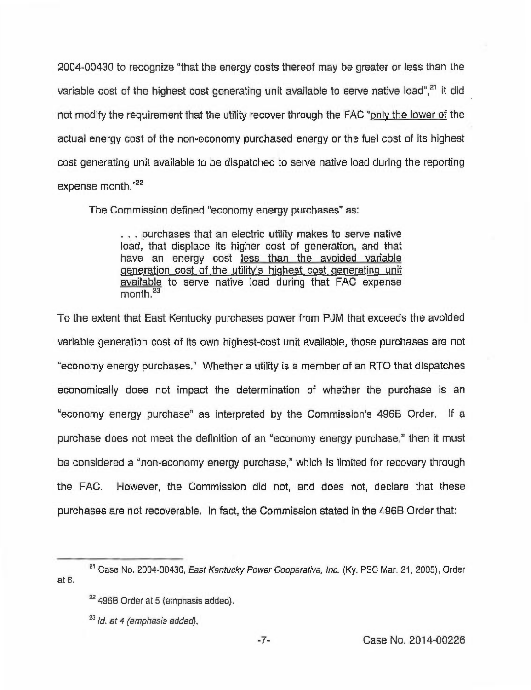2004-00430 to recognize "that the energy costs thereof may be greater or less than the variable cost of the highest cost generating unit available to serve native load", $21$  it did not modify the requirement that the utility recover through the FAC "only the lower of the actual energy cost of the non-economy purchased energy or the fuel cost of its highest cost generating unit available to be dispatched to serve native load during the reporting expense month."22

The Commission defined "economy energy purchases" as:

... purchases that an electric utility makes to serve native load, that displace its higher cost of generation, and that have an energy cost less than the avoided variable generation cost of the utility's highest cost generating unit available to serve native load during that FAC expense  $month<sup>23</sup>$ 

To the extent that East Kentucky purchases power from PJM that exceeds the avoided variable generation cost of its own highest-cost unit available, those purchases are not "economy energy purchases." Whether a utility is a member of an RTO that dispatches economically does not impact the determination of whether the purchase is an "economy energy purchase" as interpreted by the Commission's 4968 Order. If a purchase does not meet the definition of an "economy energy purchase," then it must be considered a "non-economy energy purchase," which is limited for recovery through the FAC. However, the Commission did not, and does not, declare that these purchases are not recoverable. In fact, the Commission stated in the 4968 Order that:

at 5. <sup>21</sup> Case No. 2004-00430, East Kentucky Power Cooperative, Inc. (Ky. PSC Mar. 21, 2005), Order

<sup>&</sup>lt;sup>22</sup> 496B Order at 5 (emphasis added).

 $23$  ld. at 4 (emphasis added).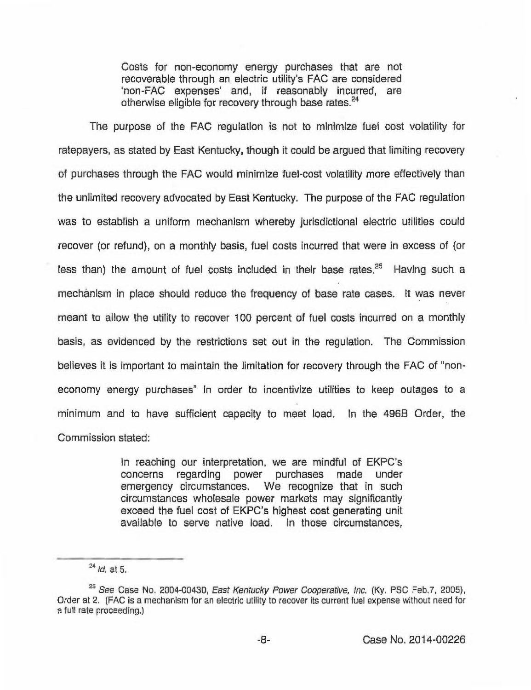Costs for non-economy energy purchases that are not recoverable through an electric utility's FAC are considered 'non-FAC expenses' and, if reasonably incurred, are otherwise eligible for recovery through base rates.<sup>24</sup>

The purpose of the FAC regulation is not to minimize fuel cost volatility for ratepayers, as stated by East Kentucky, though it could be argued that limiting recovery of purchases through the FAC would minimize fuel-cost volatility more effectively than the unlimited recovery advocated by East Kentucky. The purpose of the FAC regulation was to establish a uniform mechanism whereby jurisdictional electric utilities could recover (or refund), on a monthly basis, fuel costs incurred that were in excess of (or less than) the amount of fuel costs included in their base rates. $25$  Having such a mechanism in place should reduce the frequency of base rate cases. It was never meant to allow the utility to recover 100 percent of fuel costs incurred on a monthly basis, as evidenced by the restrictions set out in the regulation. The Commission believes it is important to maintain the limitation for recovery through the FAC of "noneconomy energy purchases" in order to incentivize utilities to keep outages to a minimum and to have sufficient capacity to meet load. In the 496B Order, the Commission stated:

> In reaching our interpretation, we are mindful of EKPC's concerns regarding power purchases made under emergency circumstances. We recognize that in such circumstances wholesale power markets may significantly exceed the fuel cost of EKPC's highest cost generating unit available to serve native load. In those circumstances,

<sup>&</sup>lt;sup>24</sup> ld. at 5.<br><sup>25</sup> See Case No. 2004-00430, *East Kentucky Power Cooperative, Inc*. (Ky. PSC Feb.7, 2005), Order at 2. (FAC is a mechanism for an electric utility to recover its current fuel expense without need for a full rate proceeding.)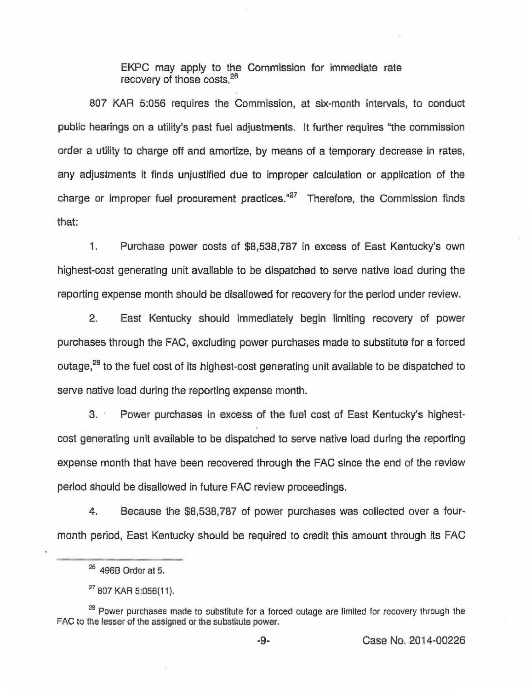EKPC may apply to the Commission for immediate rate recovery of those costs.<sup>26</sup>

807 KAR 5:058 requires the Commission, at six-month intervals, to conduct public hearings on a utility's past fuel adjustments. It further requires "the commission order a utility to charge off and amortize, by means of a temporary decrease in rates, any adjustments it finds unjustified due to improper calculation or application of the charge or improper fuel procurement practices."<sup>27</sup> Therefore, the Commission finds that:

1. Purchase power costs of \$8,538,787 in excess of East Kentucky's own highest-cost generating unit available to be dispatched to serve native load during the reporting expense month should be disallowed for recovery for the period under review.

2. East Kentucky should immediately begin limiting recovery of power purchases through the FAC, excluding power purchases made to substitute for a forced outage,<sup>28</sup> to the fuel cost of its highest-cost generating unit available to be dispatched to serve native load during the reporting expense month.

3. Power purchases in excess of the fuel cost of East Kentucky's highestcost generating unit available to be dispatched to serve native load during the reporting expense month that have been recovered through the FAC since the end of the review period should be disallowed in future FAC review proceedings.

4. Because the \$8,538,787 of power purchases was collected over a fourmonth period, East Kentucky should be required to credit this amount through its FAC

<sup>&</sup>lt;u>26</u> 496B Order at 5.

<sup>&</sup>lt;sup>er</sup> 807 KAR 5:056(11).<br><sup>28</sup> Power purchases made to substitute for a forced outage are limited for recovery through the FAG to the lesser of the assigned or the substitute power,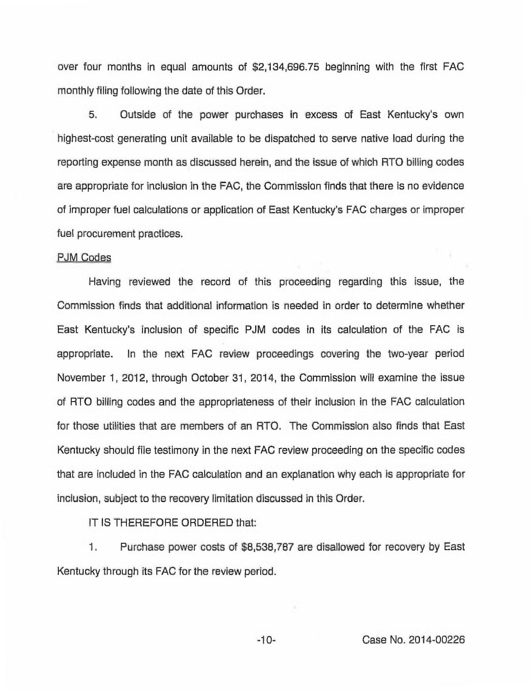over four months in equal amounts of \$2,134,696.75 beginning with the first FAC monthly filing following the date of this Order.

5. Outside of the power purchases in excess of East Kentucky's own highest-cost generating unit available to be dispatched to serve native load during the reporting expense month as discussed herein, and the issue of which RTO billing codes are appropriate for inclusion in the FAC, the Commission finds that there is no evidence of improper fuel calculations or application of East Kentucky's FAC charges or improper fuel procurement practices.

## PJM Codes

Having reviewed the record of this proceeding regarding this issue, the Commission finds that additional information is needed in order to determine whether East Kentucky's inclusion of specific PJM codes in its calculation of the FAC is appropriate. In the next FAC review proceedings covering the two-year period November 1, 2012, through October 31, 2014, the Commission will examine the issue of RTO billing codes and the appropriateness of their inclusion in the FAC calculation for those utilities that are members of an RTO. The Commission also finds that East Kentucky should file testimony in the next FAC review proceeding on the specific codes that are included in the FAC calculation and an explanation why each is appropriate for inclusion, subject to the recovery limitation discussed in this Order.

IT IS THEREFORE ORDERED that:

1. Purchase power costs of \$8,538,787 are disallowed for recovery by East Kentucky through its FAC for the review period.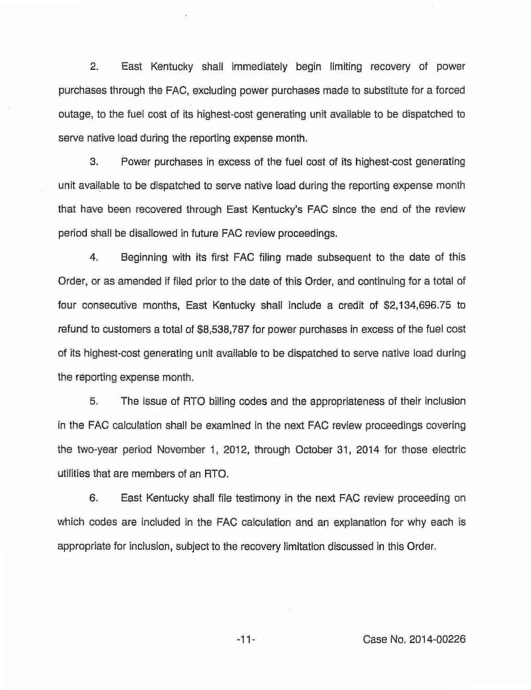2. East Kentucky shall immediately begin limiting recovery of power purchases through the FAC, excluding power purchases made to substitute for a forced outage, to the fuel cost of its highest-cost generating unit available to be dispatched to serve native load during the reporting expense month.

3. Power purchases in excess of the fuel cost of its highest-cost generating unit available to be dispatched to serve native load during the reporting expense month that have been recovered through East Kentucky's FAC since the end of the review period shall be disallowed in future FAC review proceedings.

4. Beginning with its first FAC filing made subsequent to the date of this Order, or as amended if filed prior to the date of this Order, and continuing for a total of four consecutive months, East Kentucky shall include a credit of \$2,134,696.75 to refund to customers a total of \$8,538,787 for power purchases in excess of the fuel cost of its highest-cost generating unit available to be dispatched to serve native load during the reporting expense month.

5. The issue of RTO billing codes and the appropriateness of their inclusion in the FAC calculation shall be examined in the next FAC review proceedings covering the two-year period November 1, 2012, through October 31, 2014 for those electric utilities that are members of an RTO.

6. East Kentucky shall file testimony in the next FAC review proceeding on which codes are included in the FAC calculation and an explanation for why each is appropriate for inclusion, subject to the recovery limitation discussed in this Order.

Case No. 2014-00226

 $-11-$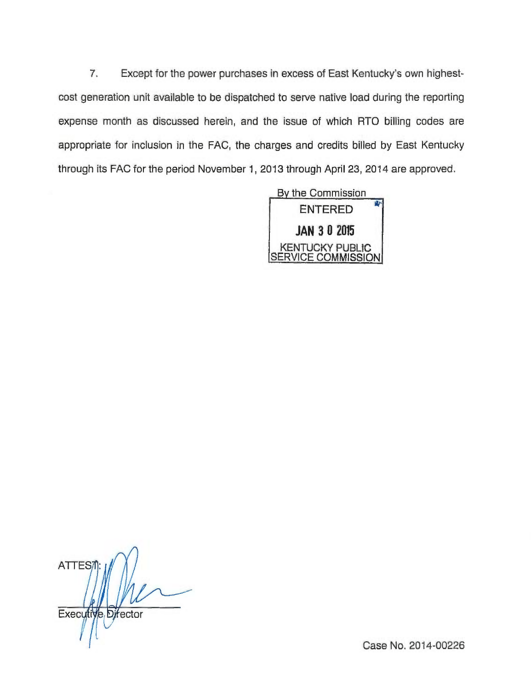7. Except for the power purchases in excess of East Kentucky's own highestcost generation unit available to be dispatched to serve native load during the reporting expense month as discussed herein, and the issue of which RTO billing codes are appropriate for inclusion in the FAC, the charges and credits billed by East Kentucky through its FAC for the period November 1, 2013 through April 23, 2014 are approved.



ATTES<sub>7</sub> Executive Director

Case No. 2014-00226